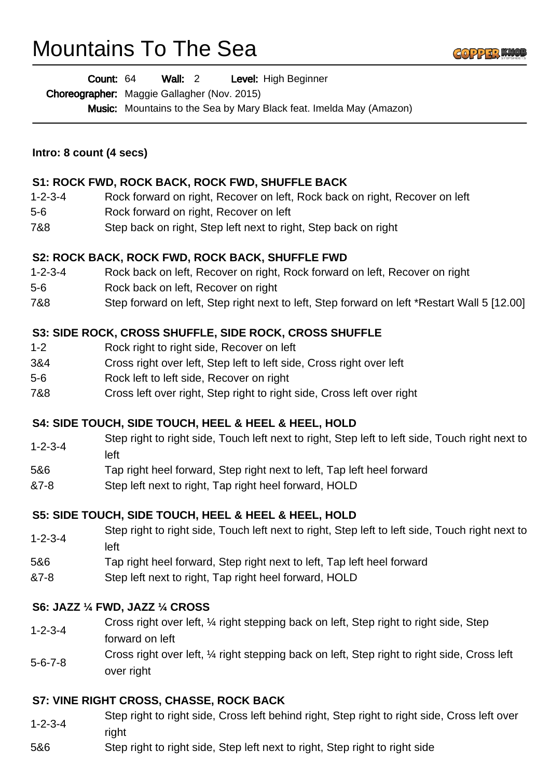# Mountains To The Sea



Wall: 2 Level: High Beginner Count: 64

Choreographer: Maggie Gallagher (Nov. 2015)

Music: Mountains to the Sea by Mary Black feat. Imelda May (Amazon)

## **Intro: 8 count (4 secs)**

## **S1: ROCK FWD, ROCK BACK, ROCK FWD, SHUFFLE BACK**

- 1-2-3-4 Rock forward on right, Recover on left, Rock back on right, Recover on left
- 5-6 Rock forward on right, Recover on left
- 7&8 Step back on right, Step left next to right, Step back on right

#### **S2: ROCK BACK, ROCK FWD, ROCK BACK, SHUFFLE FWD**

- 1-2-3-4 Rock back on left, Recover on right, Rock forward on left, Recover on right
- 5-6 Rock back on left, Recover on right
- 7&8 Step forward on left, Step right next to left, Step forward on left \*Restart Wall 5 [12.00]

## **S3: SIDE ROCK, CROSS SHUFFLE, SIDE ROCK, CROSS SHUFFLE**

- 1-2 Rock right to right side, Recover on left
- 3&4 Cross right over left, Step left to left side, Cross right over left
- 5-6 Rock left to left side, Recover on right
- 7&8 Cross left over right, Step right to right side, Cross left over right

#### **S4: SIDE TOUCH, SIDE TOUCH, HEEL & HEEL & HEEL, HOLD**

- 1-2-3-4 Step right to right side, Touch left next to right, Step left to left side, Touch right next to left
- 5&6 Tap right heel forward, Step right next to left, Tap left heel forward
- &7-8 Step left next to right, Tap right heel forward, HOLD

#### **S5: SIDE TOUCH, SIDE TOUCH, HEEL & HEEL & HEEL, HOLD**

- 1-2-3-4 Step right to right side, Touch left next to right, Step left to left side, Touch right next to left
- 5&6 Tap right heel forward, Step right next to left, Tap left heel forward
- &7-8 Step left next to right, Tap right heel forward, HOLD

#### **S6: JAZZ ¼ FWD, JAZZ ¼ CROSS**

- 1-2-3-4 Cross right over left, ¼ right stepping back on left, Step right to right side, Step forward on left
- 5-6-7-8 Cross right over left, ¼ right stepping back on left, Step right to right side, Cross left over right

#### **S7: VINE RIGHT CROSS, CHASSE, ROCK BACK**

- 1-2-3-4 Step right to right side, Cross left behind right, Step right to right side, Cross left over right
- 5&6 Step right to right side, Step left next to right, Step right to right side